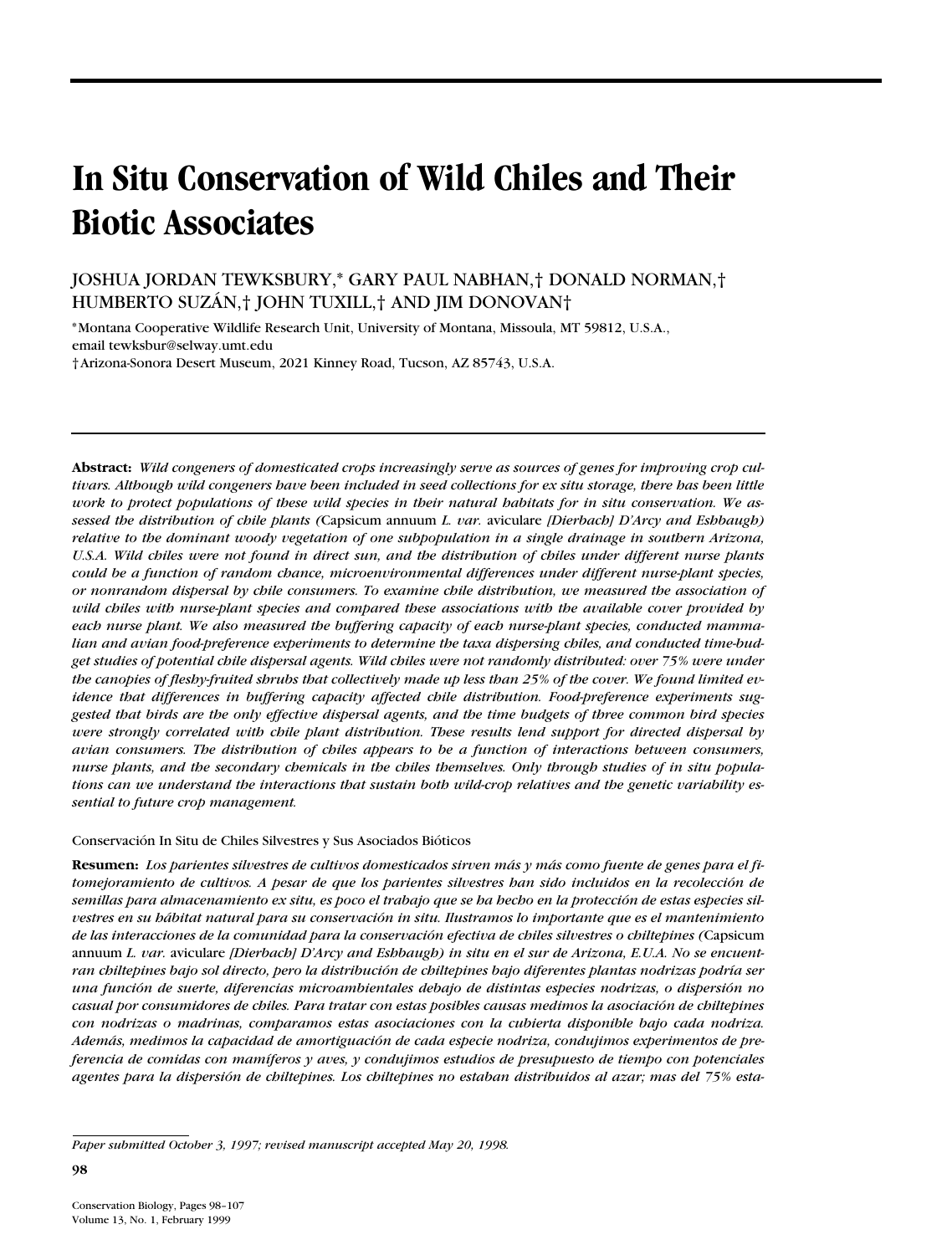# **In Situ Conservation of Wild Chiles and Their Biotic Associates**

# JOSHUA JORDAN TEWKSBURY,\* GARY PAUL NABHAN,† DONALD NORMAN,† HUMBERTO SUZÁN,† JOHN TUXILL,† AND JIM DONOVAN†

\*Montana Cooperative Wildlife Research Unit, University of Montana, Missoula, MT 59812, U.S.A., email tewksbur@selway.umt.edu †Arizona-Sonora Desert Museum, 2021 Kinney Road, Tucson, AZ 85743, U.S.A.

**Abstract:** *Wild congeners of domesticated crops increasingly serve as sources of genes for improving crop cultivars. Although wild congeners have been included in seed collections for ex situ storage, there has been little work to protect populations of these wild species in their natural habitats for in situ conservation. We assessed the distribution of chile plants (*Capsicum annuum *L. var.* aviculare *[Dierbach] D'Arcy and Eshbaugh) relative to the dominant woody vegetation of one subpopulation in a single drainage in southern Arizona, U.S.A. Wild chiles were not found in direct sun, and the distribution of chiles under different nurse plants could be a function of random chance, microenvironmental differences under different nurse-plant species, or nonrandom dispersal by chile consumers. To examine chile distribution, we measured the association of wild chiles with nurse-plant species and compared these associations with the available cover provided by each nurse plant. We also measured the buffering capacity of each nurse-plant species, conducted mammalian and avian food-preference experiments to determine the taxa dispersing chiles, and conducted time-budget studies of potential chile dispersal agents. Wild chiles were not randomly distributed: over 75% were under the canopies of fleshy-fruited shrubs that collectively made up less than 25% of the cover. We found limited evidence that differences in buffering capacity affected chile distribution. Food-preference experiments suggested that birds are the only effective dispersal agents, and the time budgets of three common bird species were strongly correlated with chile plant distribution. These results lend support for directed dispersal by avian consumers. The distribution of chiles appears to be a function of interactions between consumers, nurse plants, and the secondary chemicals in the chiles themselves. Only through studies of in situ populations can we understand the interactions that sustain both wild-crop relatives and the genetic variability essential to future crop management.*

## Conservación In Situ de Chiles Silvestres y Sus Asociados Bióticos

**Resumen:** *Los parientes silvestres de cultivos domesticados sirven más y más como fuente de genes para el fitomejoramiento de cultivos. A pesar de que los parientes silvestres han sido incluidos en la recolección de semillas para almacenamiento ex situ, es poco el trabajo que se ha hecho en la protección de estas especies silvestres en su hábitat natural para su conservación in situ. Ilustramos lo importante que es el mantenimiento de las interacciones de la comunidad para la conservación efectiva de chiles silvestres o chiltepines (*Capsicum annuum *L. var.* aviculare *[Dierbach] D'Arcy and Eshbaugh) in situ en el sur de Arizona, E.U.A. No se encuentran chiltepines bajo sol directo, pero la distribución de chiltepines bajo diferentes plantas nodrizas podría ser una función de suerte, diferencias microambientales debajo de distintas especies nodrizas, o dispersión no casual por consumidores de chiles. Para tratar con estas posibles causas medimos la asociación de chiltepines con nodrizas o madrinas, comparamos estas asociaciones con la cubierta disponible bajo cada nodriza. Además, medimos la capacidad de amortiguación de cada especie nodriza, condujimos experimentos de preferencia de comidas con mamíferos y aves, y condujimos estudios de presupuesto de tiempo con potenciales agentes para la dispersión de chiltepines. Los chiltepines no estaban distribuidos al azar; mas del 75% esta-*

*Paper submitted October 3, 1997; revised manuscript accepted May 20, 1998.*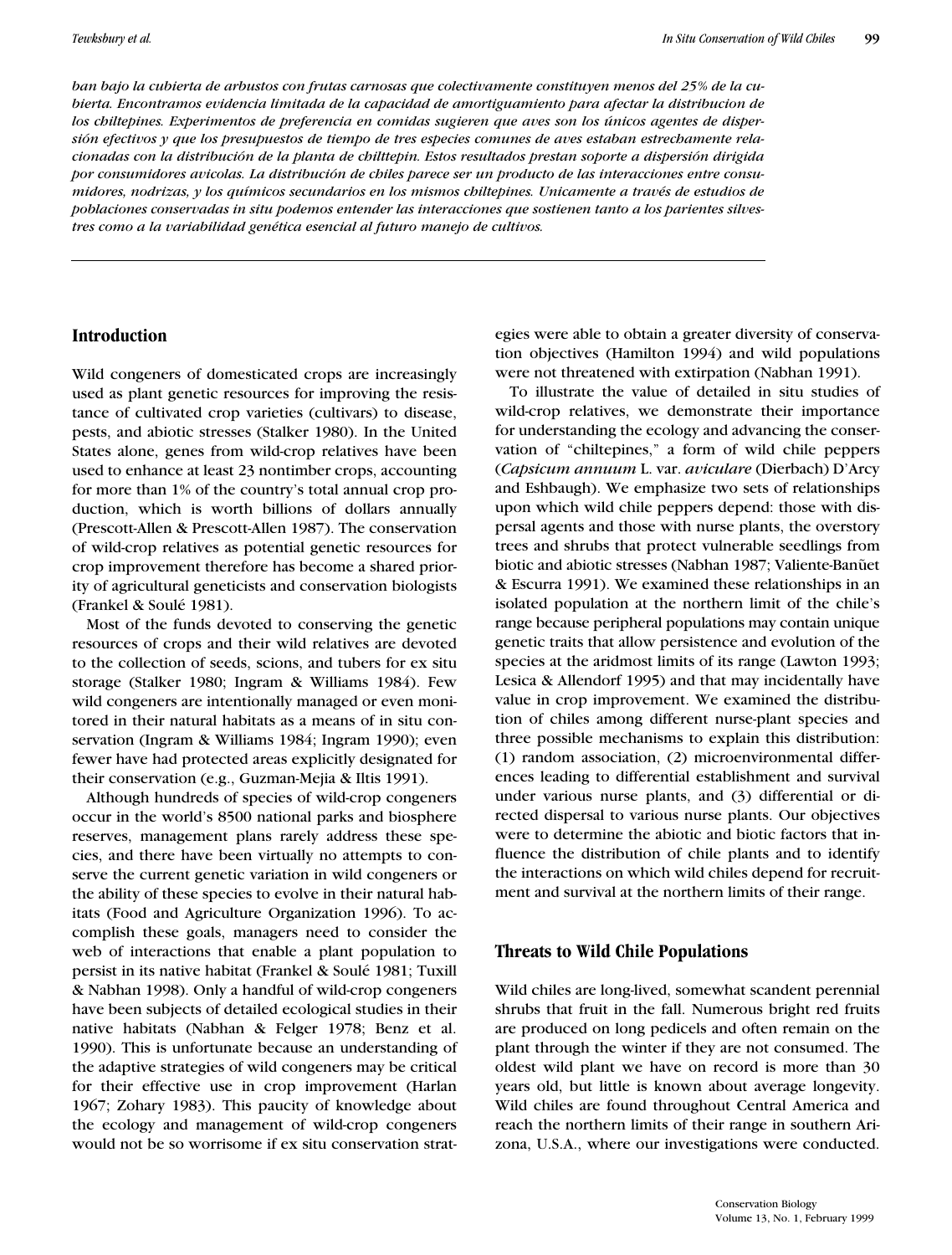*ban bajo la cubierta de arbustos con frutas carnosas que colectivamente constituyen menos del 25% de la cubierta. Encontramos evidencia limitada de la capacidad de amortiguamiento para afectar la distribucion de los chiltepines. Experimentos de preferencia en comidas sugieren que aves son los únicos agentes de dispersión efectivos y que los presupuestos de tiempo de tres especies comunes de aves estaban estrechamente relacionadas con la distribución de la planta de chilttepin. Estos resultados prestan soporte a dispersión dirigida por consumidores avicolas. La distribución de chiles parece ser un producto de las interacciones entre consumidores, nodrizas, y los químicos secundarios en los mismos chiltepines. Unicamente a través de estudios de poblaciones conservadas in situ podemos entender las interacciones que sostienen tanto a los parientes silvestres como a la variabilidad genética esencial al futuro manejo de cultivos.*

# **Introduction**

Wild congeners of domesticated crops are increasingly used as plant genetic resources for improving the resistance of cultivated crop varieties (cultivars) to disease, pests, and abiotic stresses (Stalker 1980). In the United States alone, genes from wild-crop relatives have been used to enhance at least 23 nontimber crops, accounting for more than 1% of the country's total annual crop production, which is worth billions of dollars annually (Prescott-Allen & Prescott-Allen 1987). The conservation of wild-crop relatives as potential genetic resources for crop improvement therefore has become a shared priority of agricultural geneticists and conservation biologists (Frankel & Soulé 1981).

Most of the funds devoted to conserving the genetic resources of crops and their wild relatives are devoted to the collection of seeds, scions, and tubers for ex situ storage (Stalker 1980; Ingram & Williams 1984). Few wild congeners are intentionally managed or even monitored in their natural habitats as a means of in situ conservation (Ingram & Williams 1984; Ingram 1990); even fewer have had protected areas explicitly designated for their conservation (e.g., Guzman-Mejia & Iltis 1991).

Although hundreds of species of wild-crop congeners occur in the world's 8500 national parks and biosphere reserves, management plans rarely address these species, and there have been virtually no attempts to conserve the current genetic variation in wild congeners or the ability of these species to evolve in their natural habitats (Food and Agriculture Organization 1996). To accomplish these goals, managers need to consider the web of interactions that enable a plant population to persist in its native habitat (Frankel & Soulé 1981; Tuxill & Nabhan 1998). Only a handful of wild-crop congeners have been subjects of detailed ecological studies in their native habitats (Nabhan & Felger 1978; Benz et al. 1990). This is unfortunate because an understanding of the adaptive strategies of wild congeners may be critical for their effective use in crop improvement (Harlan 1967; Zohary 1983). This paucity of knowledge about the ecology and management of wild-crop congeners would not be so worrisome if ex situ conservation strategies were able to obtain a greater diversity of conservation objectives (Hamilton 1994) and wild populations were not threatened with extirpation (Nabhan 1991).

To illustrate the value of detailed in situ studies of wild-crop relatives, we demonstrate their importance for understanding the ecology and advancing the conservation of "chiltepines," a form of wild chile peppers (*Capsicum annuum* L. var. *aviculare* (Dierbach) D'Arcy and Eshbaugh). We emphasize two sets of relationships upon which wild chile peppers depend: those with dispersal agents and those with nurse plants, the overstory trees and shrubs that protect vulnerable seedlings from biotic and abiotic stresses (Nabhan 1987; Valiente-Banuet & Escurra 1991). We examined these relationships in an isolated population at the northern limit of the chile's range because peripheral populations may contain unique genetic traits that allow persistence and evolution of the species at the aridmost limits of its range (Lawton 1993; Lesica & Allendorf 1995) and that may incidentally have value in crop improvement. We examined the distribution of chiles among different nurse-plant species and three possible mechanisms to explain this distribution: (1) random association, (2) microenvironmental differences leading to differential establishment and survival under various nurse plants, and (3) differential or directed dispersal to various nurse plants. Our objectives were to determine the abiotic and biotic factors that influence the distribution of chile plants and to identify the interactions on which wild chiles depend for recruitment and survival at the northern limits of their range.

# **Threats to Wild Chile Populations**

Wild chiles are long-lived, somewhat scandent perennial shrubs that fruit in the fall. Numerous bright red fruits are produced on long pedicels and often remain on the plant through the winter if they are not consumed. The oldest wild plant we have on record is more than 30 years old, but little is known about average longevity. Wild chiles are found throughout Central America and reach the northern limits of their range in southern Arizona, U.S.A., where our investigations were conducted.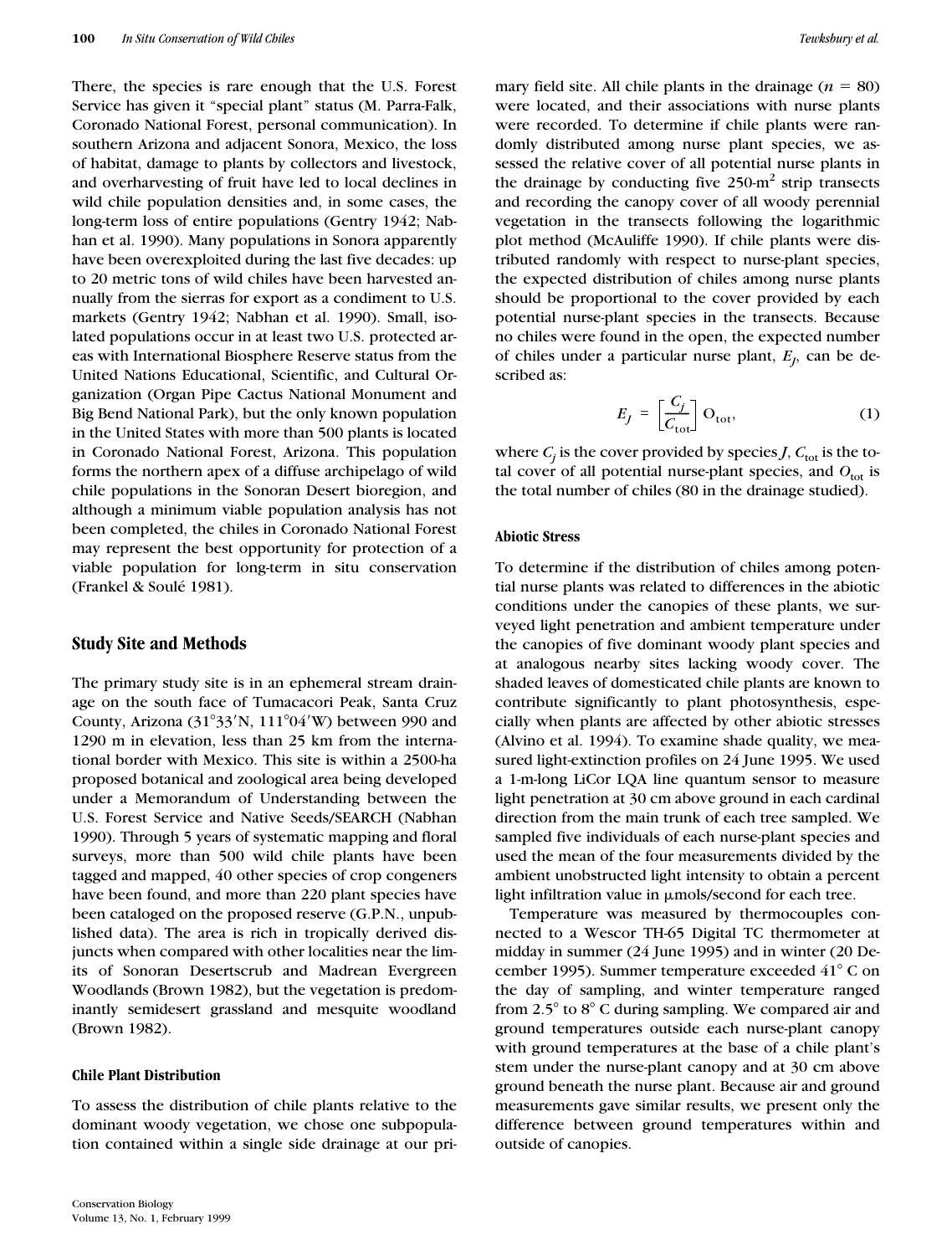There, the species is rare enough that the U.S. Forest Service has given it "special plant" status (M. Parra-Falk, Coronado National Forest, personal communication). In southern Arizona and adjacent Sonora, Mexico, the loss of habitat, damage to plants by collectors and livestock, and overharvesting of fruit have led to local declines in wild chile population densities and, in some cases, the long-term loss of entire populations (Gentry 1942; Nabhan et al. 1990). Many populations in Sonora apparently have been overexploited during the last five decades: up to 20 metric tons of wild chiles have been harvested annually from the sierras for export as a condiment to U.S. markets (Gentry 1942; Nabhan et al. 1990). Small, isolated populations occur in at least two U.S. protected areas with International Biosphere Reserve status from the United Nations Educational, Scientific, and Cultural Organization (Organ Pipe Cactus National Monument and Big Bend National Park), but the only known population in the United States with more than 500 plants is located in Coronado National Forest, Arizona. This population forms the northern apex of a diffuse archipelago of wild chile populations in the Sonoran Desert bioregion, and although a minimum viable population analysis has not been completed, the chiles in Coronado National Forest may represent the best opportunity for protection of a viable population for long-term in situ conservation (Frankel & Soulé 1981).

# **Study Site and Methods**

The primary study site is in an ephemeral stream drainage on the south face of Tumacacori Peak, Santa Cruz County, Arizona (31°33'N, 111°04'W) between 990 and 1290 m in elevation, less than 25 km from the international border with Mexico. This site is within a 2500-ha proposed botanical and zoological area being developed under a Memorandum of Understanding between the U.S. Forest Service and Native Seeds/SEARCH (Nabhan 1990). Through 5 years of systematic mapping and floral surveys, more than 500 wild chile plants have been tagged and mapped, 40 other species of crop congeners have been found, and more than 220 plant species have been cataloged on the proposed reserve (G.P.N., unpublished data). The area is rich in tropically derived disjuncts when compared with other localities near the limits of Sonoran Desertscrub and Madrean Evergreen Woodlands (Brown 1982), but the vegetation is predominantly semidesert grassland and mesquite woodland (Brown 1982).

## **Chile Plant Distribution**

To assess the distribution of chile plants relative to the dominant woody vegetation, we chose one subpopulation contained within a single side drainage at our primary field site. All chile plants in the drainage  $(n = 80)$ were located, and their associations with nurse plants were recorded. To determine if chile plants were randomly distributed among nurse plant species, we assessed the relative cover of all potential nurse plants in the drainage by conducting five  $250 \text{·m}^2$  strip transects and recording the canopy cover of all woody perennial vegetation in the transects following the logarithmic plot method (McAuliffe 1990). If chile plants were distributed randomly with respect to nurse-plant species, the expected distribution of chiles among nurse plants should be proportional to the cover provided by each potential nurse-plant species in the transects. Because no chiles were found in the open, the expected number of chiles under a particular nurse plant,  $E_j$ , can be described as:

$$
E_J = \left[\frac{C_j}{C_{\text{tot}}}\right] \mathcal{O}_{\text{tot}},\tag{1}
$$

where  $C_j$  is the cover provided by species *J*,  $C_{\text{tot}}$  is the total cover of all potential nurse-plant species, and O<sub>tot</sub> is the total number of chiles (80 in the drainage studied).

## **Abiotic Stress**

To determine if the distribution of chiles among potential nurse plants was related to differences in the abiotic conditions under the canopies of these plants, we surveyed light penetration and ambient temperature under the canopies of five dominant woody plant species and at analogous nearby sites lacking woody cover. The shaded leaves of domesticated chile plants are known to contribute significantly to plant photosynthesis, especially when plants are affected by other abiotic stresses (Alvino et al. 1994). To examine shade quality, we measured light-extinction profiles on 24 June 1995. We used a 1-m-long LiCor LQA line quantum sensor to measure light penetration at 30 cm above ground in each cardinal direction from the main trunk of each tree sampled. We sampled five individuals of each nurse-plant species and used the mean of the four measurements divided by the ambient unobstructed light intensity to obtain a percent light infiltration value in  $\mu$  mols/second for each tree.

Temperature was measured by thermocouples connected to a Wescor TH-65 Digital TC thermometer at midday in summer (24 June 1995) and in winter (20 December 1995). Summer temperature exceeded 41° C on the day of sampling, and winter temperature ranged from  $2.5^{\circ}$  to  $8^{\circ}$  C during sampling. We compared air and ground temperatures outside each nurse-plant canopy with ground temperatures at the base of a chile plant's stem under the nurse-plant canopy and at 30 cm above ground beneath the nurse plant. Because air and ground measurements gave similar results, we present only the difference between ground temperatures within and outside of canopies.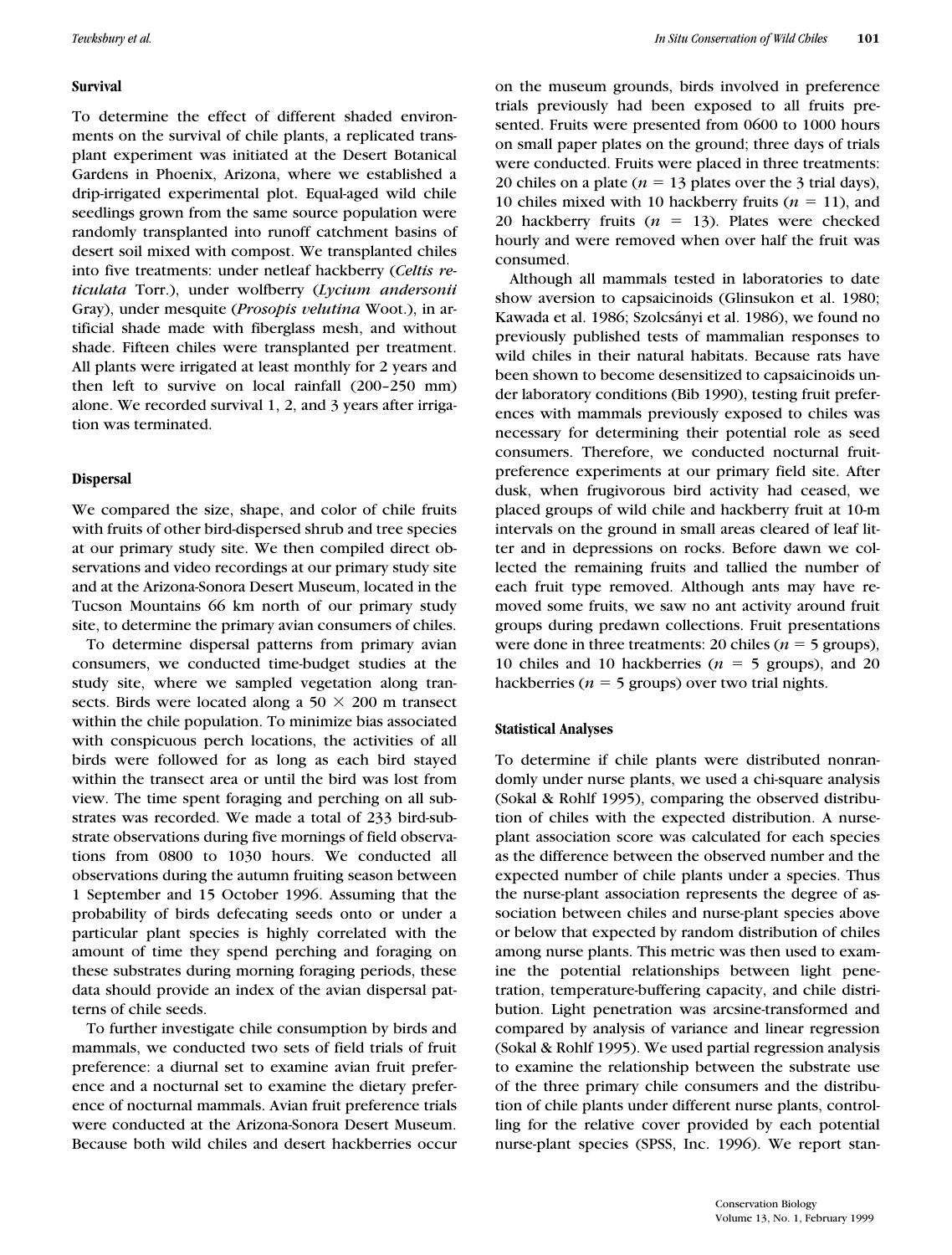## **Survival**

To determine the effect of different shaded environments on the survival of chile plants, a replicated transplant experiment was initiated at the Desert Botanical Gardens in Phoenix, Arizona, where we established a drip-irrigated experimental plot. Equal-aged wild chile seedlings grown from the same source population were randomly transplanted into runoff catchment basins of desert soil mixed with compost. We transplanted chiles into five treatments: under netleaf hackberry (*Celtis reticulata* Torr.), under wolfberry (*Lycium andersonii* Gray), under mesquite (*Prosopis velutina* Woot.), in artificial shade made with fiberglass mesh, and without shade. Fifteen chiles were transplanted per treatment. All plants were irrigated at least monthly for 2 years and then left to survive on local rainfall (200–250 mm) alone. We recorded survival 1, 2, and 3 years after irrigation was terminated.

#### **Dispersal**

We compared the size, shape, and color of chile fruits with fruits of other bird-dispersed shrub and tree species at our primary study site. We then compiled direct observations and video recordings at our primary study site and at the Arizona-Sonora Desert Museum, located in the Tucson Mountains 66 km north of our primary study site, to determine the primary avian consumers of chiles.

To determine dispersal patterns from primary avian consumers, we conducted time-budget studies at the study site, where we sampled vegetation along transects. Birds were located along a  $50 \times 200$  m transect within the chile population. To minimize bias associated with conspicuous perch locations, the activities of all birds were followed for as long as each bird stayed within the transect area or until the bird was lost from view. The time spent foraging and perching on all substrates was recorded. We made a total of 233 bird-substrate observations during five mornings of field observations from 0800 to 1030 hours. We conducted all observations during the autumn fruiting season between 1 September and 15 October 1996. Assuming that the probability of birds defecating seeds onto or under a particular plant species is highly correlated with the amount of time they spend perching and foraging on these substrates during morning foraging periods, these data should provide an index of the avian dispersal patterns of chile seeds.

To further investigate chile consumption by birds and mammals, we conducted two sets of field trials of fruit preference: a diurnal set to examine avian fruit preference and a nocturnal set to examine the dietary preference of nocturnal mammals. Avian fruit preference trials were conducted at the Arizona-Sonora Desert Museum. Because both wild chiles and desert hackberries occur

on the museum grounds, birds involved in preference trials previously had been exposed to all fruits presented. Fruits were presented from 0600 to 1000 hours on small paper plates on the ground; three days of trials were conducted. Fruits were placed in three treatments: 20 chiles on a plate ( $n = 13$  plates over the 3 trial days), 10 chiles mixed with 10 hackberry fruits  $(n = 11)$ , and 20 hackberry fruits  $(n = 13)$ . Plates were checked hourly and were removed when over half the fruit was consumed.

Although all mammals tested in laboratories to date show aversion to capsaicinoids (Glinsukon et al. 1980; Kawada et al. 1986; Szolcsányi et al. 1986), we found no previously published tests of mammalian responses to wild chiles in their natural habitats. Because rats have been shown to become desensitized to capsaicinoids under laboratory conditions (Bib 1990), testing fruit preferences with mammals previously exposed to chiles was necessary for determining their potential role as seed consumers. Therefore, we conducted nocturnal fruitpreference experiments at our primary field site. After dusk, when frugivorous bird activity had ceased, we placed groups of wild chile and hackberry fruit at 10-m intervals on the ground in small areas cleared of leaf litter and in depressions on rocks. Before dawn we collected the remaining fruits and tallied the number of each fruit type removed. Although ants may have removed some fruits, we saw no ant activity around fruit groups during predawn collections. Fruit presentations were done in three treatments: 20 chiles ( $n = 5$  groups), 10 chiles and 10 hackberries ( $n = 5$  groups), and 20 hackberries ( $n = 5$  groups) over two trial nights.

#### **Statistical Analyses**

To determine if chile plants were distributed nonrandomly under nurse plants, we used a chi-square analysis (Sokal & Rohlf 1995), comparing the observed distribution of chiles with the expected distribution. A nurseplant association score was calculated for each species as the difference between the observed number and the expected number of chile plants under a species. Thus the nurse-plant association represents the degree of association between chiles and nurse-plant species above or below that expected by random distribution of chiles among nurse plants. This metric was then used to examine the potential relationships between light penetration, temperature-buffering capacity, and chile distribution. Light penetration was arcsine-transformed and compared by analysis of variance and linear regression (Sokal & Rohlf 1995). We used partial regression analysis to examine the relationship between the substrate use of the three primary chile consumers and the distribution of chile plants under different nurse plants, controlling for the relative cover provided by each potential nurse-plant species (SPSS, Inc. 1996). We report stan-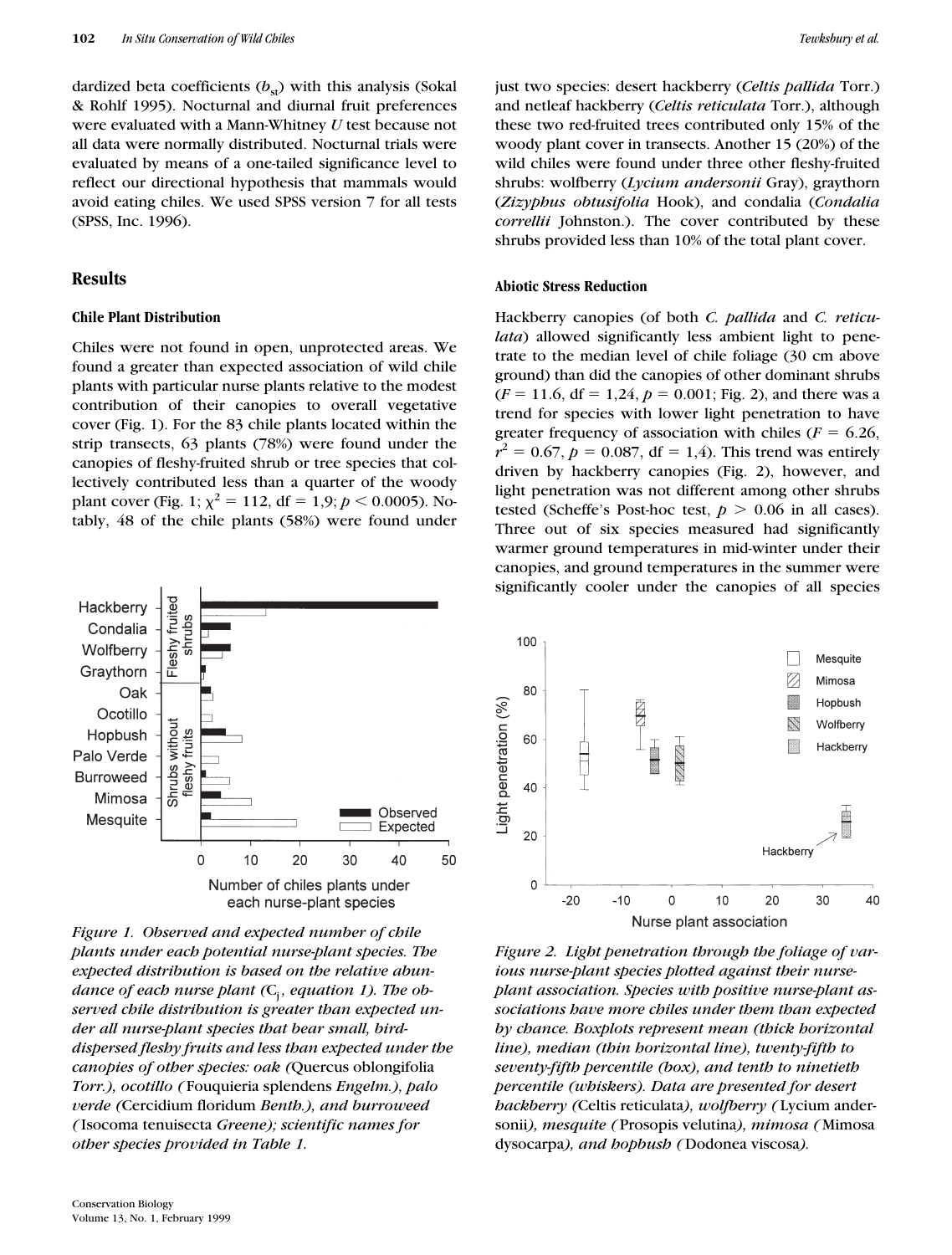dardized beta coefficients  $(b_{st})$  with this analysis (Sokal & Rohlf 1995). Nocturnal and diurnal fruit preferences were evaluated with a Mann-Whitney *U* test because not all data were normally distributed. Nocturnal trials were evaluated by means of a one-tailed significance level to reflect our directional hypothesis that mammals would avoid eating chiles. We used SPSS version 7 for all tests (SPSS, Inc. 1996).

## **Results**

#### **Chile Plant Distribution**

Chiles were not found in open, unprotected areas. We found a greater than expected association of wild chile plants with particular nurse plants relative to the modest contribution of their canopies to overall vegetative cover (Fig. 1). For the 83 chile plants located within the strip transects, 63 plants (78%) were found under the canopies of fleshy-fruited shrub or tree species that collectively contributed less than a quarter of the woody plant cover (Fig. 1;  $\chi^2 = 112$ , df = 1,9; *p* < 0.0005). Notably, 48 of the chile plants (58%) were found under



*Figure 1. Observed and expected number of chile plants under each potential nurse-plant species. The expected distribution is based on the relative abundance of each nurse plant*  $(C_i, equation 1)$ *. The observed chile distribution is greater than expected under all nurse-plant species that bear small, birddispersed fleshy fruits and less than expected under the canopies of other species: oak (*Quercus oblongifolia *Torr.), ocotillo (* Fouquieria splendens *Engelm.), palo verde (*Cercidium floridum *Benth.), and burroweed (* Isocoma tenuisecta *Greene); scientific names for other species provided in Table 1.*

just two species: desert hackberry (*Celtis pallida* Torr.) and netleaf hackberry (*Celtis reticulata* Torr.), although these two red-fruited trees contributed only 15% of the woody plant cover in transects. Another 15 (20%) of the wild chiles were found under three other fleshy-fruited shrubs: wolfberry (*Lycium andersonii* Gray), graythorn (*Zizyphus obtusifolia* Hook), and condalia (*Condalia correllii* Johnston.). The cover contributed by these shrubs provided less than 10% of the total plant cover.

#### **Abiotic Stress Reduction**

Hackberry canopies (of both *C. pallida* and *C. reticulata*) allowed significantly less ambient light to penetrate to the median level of chile foliage (30 cm above ground) than did the canopies of other dominant shrubs  $(F = 11.6, df = 1,24, p = 0.001; Fig. 2)$ , and there was a trend for species with lower light penetration to have greater frequency of association with chiles ( $F = 6.26$ ,  $r^2 = 0.67$ ,  $p = 0.087$ , df = 1,4). This trend was entirely driven by hackberry canopies (Fig. 2), however, and light penetration was not different among other shrubs tested (Scheffe's Post-hoc test,  $p > 0.06$  in all cases). Three out of six species measured had significantly warmer ground temperatures in mid-winter under their canopies, and ground temperatures in the summer were significantly cooler under the canopies of all species



*Figure 2. Light penetration through the foliage of various nurse-plant species plotted against their nurseplant association. Species with positive nurse-plant associations have more chiles under them than expected by chance. Boxplots represent mean (thick horizontal line), median (thin horizontal line), twenty-fifth to seventy-fifth percentile (box), and tenth to ninetieth percentile (whiskers). Data are presented for desert hackberry (*Celtis reticulata*), wolfberry (* Lycium andersonii*), mesquite (* Prosopis velutina*), mimosa (* Mimosa dysocarpa*), and hopbush (* Dodonea viscosa*).*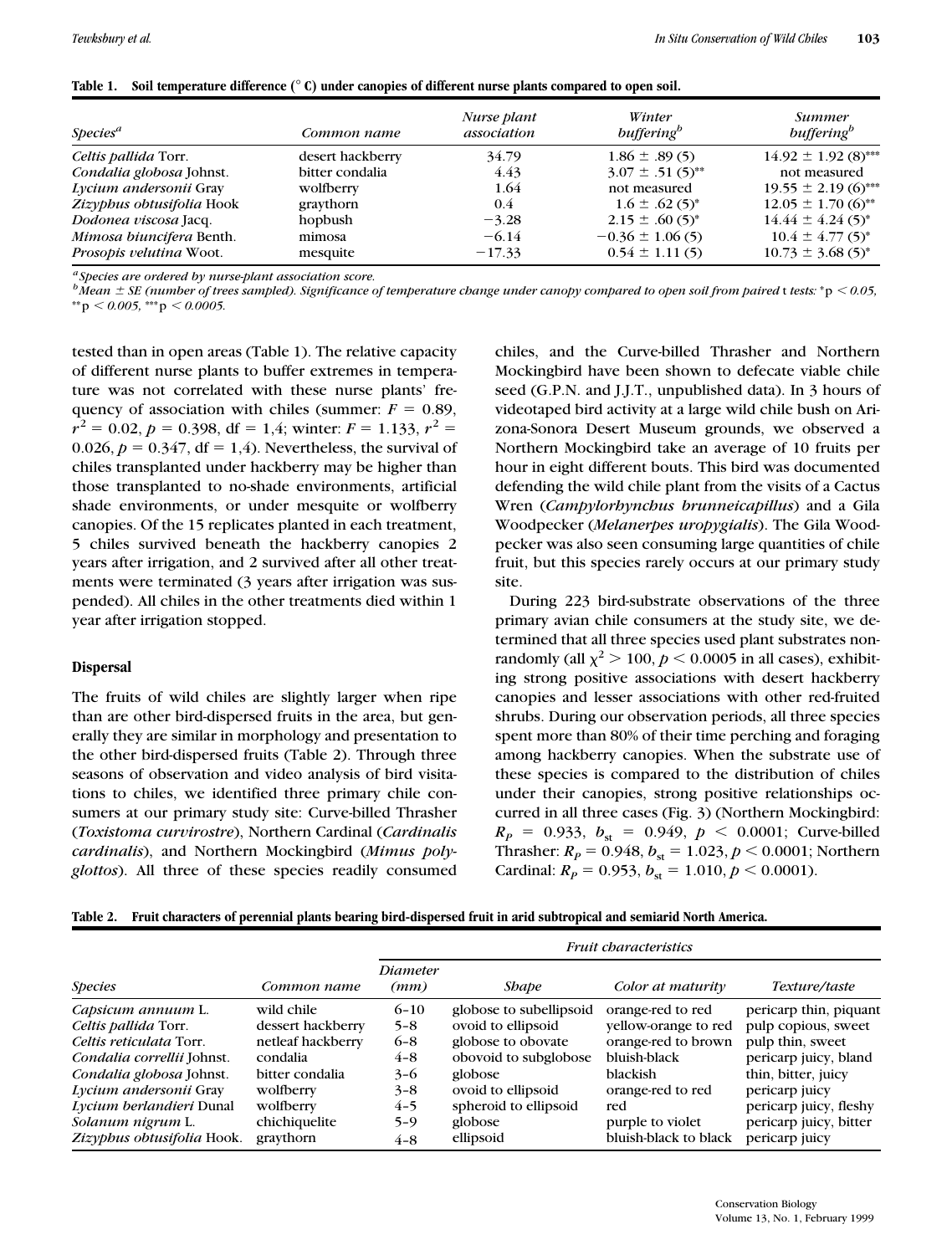|  | Table 1. Soil temperature difference $(°\)$ under canopies of different nurse plants compared to open soil. |  |  |  |  |  |  |  |  |
|--|-------------------------------------------------------------------------------------------------------------|--|--|--|--|--|--|--|--|
|--|-------------------------------------------------------------------------------------------------------------|--|--|--|--|--|--|--|--|

| <i>Species<sup>a</sup></i> | Common name      | Nurse plant<br>association | Winter<br><i>buffering</i> <sup><i>b</i></sup> | <i>Summer</i><br><i>buffering</i> <sup><i>b</i></sup> |
|----------------------------|------------------|----------------------------|------------------------------------------------|-------------------------------------------------------|
| Celtis pallida Torr.       | desert hackberry | 34.79                      | $1.86 \pm .89(5)$                              | $14.92 \pm 1.92$ (8) <sup>***</sup>                   |
| Condalia globosa Johnst.   | bitter condalia  | 4.43                       | $3.07 \pm .51(5)$ **                           | not measured                                          |
| Lycium andersonii Gray     | wolfberry        | 1.64                       | not measured                                   | $19.55 \pm 2.19$ (6)***                               |
| Zizyphus obtusifolia Hook  | graythorn        | 0.4                        | $1.6 \pm .62(5)^*$                             | $12.05 \pm 1.70$ (6) <sup>**</sup>                    |
| Dodonea viscosa Jacq.      | hopbush          | $-3.28$                    | $2.15 \pm .60(5)^*$                            | $14.44 \pm 4.24$ (5) <sup>*</sup>                     |
| Mimosa biuncifera Benth.   | mimosa           | $-6.14$                    | $-0.36 \pm 1.06(5)$                            | $10.4 \pm 4.77(5)^*$                                  |
| Prosopis velutina Woot.    | mesquite         | $-17.33$                   | $0.54 \pm 1.11(5)$                             | $10.73 \pm 3.68$ (5) <sup>*</sup>                     |

*aSpecies are ordered by nurse-plant association score.*

*b*Mean  $\pm$  SE (number of trees sampled). Significance of temperature change under canopy compared to open soil from paired t tests: \*p < 0.05, \*\*p , *0.005,* \*\*\*p , *0.0005.*

tested than in open areas (Table 1). The relative capacity of different nurse plants to buffer extremes in temperature was not correlated with these nurse plants' frequency of association with chiles (summer:  $F = 0.89$ ,  $r^2 = 0.02$ ,  $p = 0.398$ , df = 1,4; winter:  $F = 1.133$ ,  $r^2 =$ 0.026,  $p = 0.347$ , df = 1,4). Nevertheless, the survival of chiles transplanted under hackberry may be higher than those transplanted to no-shade environments, artificial shade environments, or under mesquite or wolfberry canopies. Of the 15 replicates planted in each treatment, 5 chiles survived beneath the hackberry canopies 2 years after irrigation, and 2 survived after all other treatments were terminated (3 years after irrigation was suspended). All chiles in the other treatments died within 1 year after irrigation stopped.

## **Dispersal**

The fruits of wild chiles are slightly larger when ripe than are other bird-dispersed fruits in the area, but generally they are similar in morphology and presentation to the other bird-dispersed fruits (Table 2). Through three seasons of observation and video analysis of bird visitations to chiles, we identified three primary chile consumers at our primary study site: Curve-billed Thrasher (*Toxistoma curvirostre*), Northern Cardinal (*Cardinalis cardinalis*), and Northern Mockingbird (*Mimus polyglottos*). All three of these species readily consumed

chiles, and the Curve-billed Thrasher and Northern Mockingbird have been shown to defecate viable chile seed (G.P.N. and J.J.T., unpublished data). In 3 hours of videotaped bird activity at a large wild chile bush on Arizona-Sonora Desert Museum grounds, we observed a Northern Mockingbird take an average of 10 fruits per hour in eight different bouts. This bird was documented defending the wild chile plant from the visits of a Cactus Wren (*Campylorhynchus brunneicapillus*) and a Gila Woodpecker (*Melanerpes uropygialis*). The Gila Woodpecker was also seen consuming large quantities of chile fruit, but this species rarely occurs at our primary study site.

During 223 bird-substrate observations of the three primary avian chile consumers at the study site, we determined that all three species used plant substrates nonrandomly (all  $\chi^2 > 100$ ,  $p < 0.0005$  in all cases), exhibiting strong positive associations with desert hackberry canopies and lesser associations with other red-fruited shrubs. During our observation periods, all three species spent more than 80% of their time perching and foraging among hackberry canopies. When the substrate use of these species is compared to the distribution of chiles under their canopies, strong positive relationships occurred in all three cases (Fig. 3) (Northern Mockingbird:  $R_p = 0.933$ ,  $b_{st} = 0.949$ ,  $p < 0.0001$ ; Curve-billed Thrasher:  $R_p = 0.948$ ,  $b_{st} = 1.023$ ,  $p < 0.0001$ ; Northern Cardinal:  $R_p = 0.953$ ,  $b_{st} = 1.010$ ,  $p < 0.0001$ ).

|  | Table 2. Fruit characters of perennial plants bearing bird-dispersed fruit in arid subtropical and semiarid North America. |  |  |  |  |  |  |
|--|----------------------------------------------------------------------------------------------------------------------------|--|--|--|--|--|--|
|--|----------------------------------------------------------------------------------------------------------------------------|--|--|--|--|--|--|

| Diameter<br>Color at maturity<br><i><b>Species</b></i><br>Common name<br><i><b>Shape</b></i><br>(mm)<br>$6 - 10$<br>orange-red to red<br>wild chile<br>globose to subellipsoid<br>Capsicum annuum L.<br>ovoid to ellipsoid<br>yellow-orange to red<br>dessert hackberry<br>Celtis pallida Torr.<br>$5 - 8$<br>netleaf hackberry<br>$6 - 8$<br>orange-red to brown<br>globose to obovate<br>Celtis reticulata Torr.<br>$4-8$<br>obovoid to subglobose<br>bluish-black<br>Condalia correllii Johnst.<br>condalia |  | <b>Fruit characteristics</b> |  |  |                                                                                                                                                                                                           |  |
|----------------------------------------------------------------------------------------------------------------------------------------------------------------------------------------------------------------------------------------------------------------------------------------------------------------------------------------------------------------------------------------------------------------------------------------------------------------------------------------------------------------|--|------------------------------|--|--|-----------------------------------------------------------------------------------------------------------------------------------------------------------------------------------------------------------|--|
|                                                                                                                                                                                                                                                                                                                                                                                                                                                                                                                |  |                              |  |  | Texture/taste                                                                                                                                                                                             |  |
| Condalia globosa Johnst.<br>blackish<br>$3-6$<br>bitter condalia<br>globose<br>Lycium andersonii Gray<br>ovoid to ellipsoid<br>wolfberry<br>$3 - 8$<br>orange-red to red<br>spheroid to ellipsoid<br>Lycium berlandieri Dunal<br>$4 - 5$<br>wolfberry<br>red<br>chichiquelite<br>Solanum nigrum L.<br>$5 - 9$<br>purple to violet<br>globose<br>bluish-black to black<br>Zizyphus obtusifolia Hook.<br>graythorn<br>ellipsoid                                                                                  |  |                              |  |  | pericarp thin, piquant<br>pulp copious, sweet<br>pulp thin, sweet<br>pericarp juicy, bland<br>thin, bitter, juicy<br>pericarp juicy<br>pericarp juicy, fleshy<br>pericarp juicy, bitter<br>pericarp juicy |  |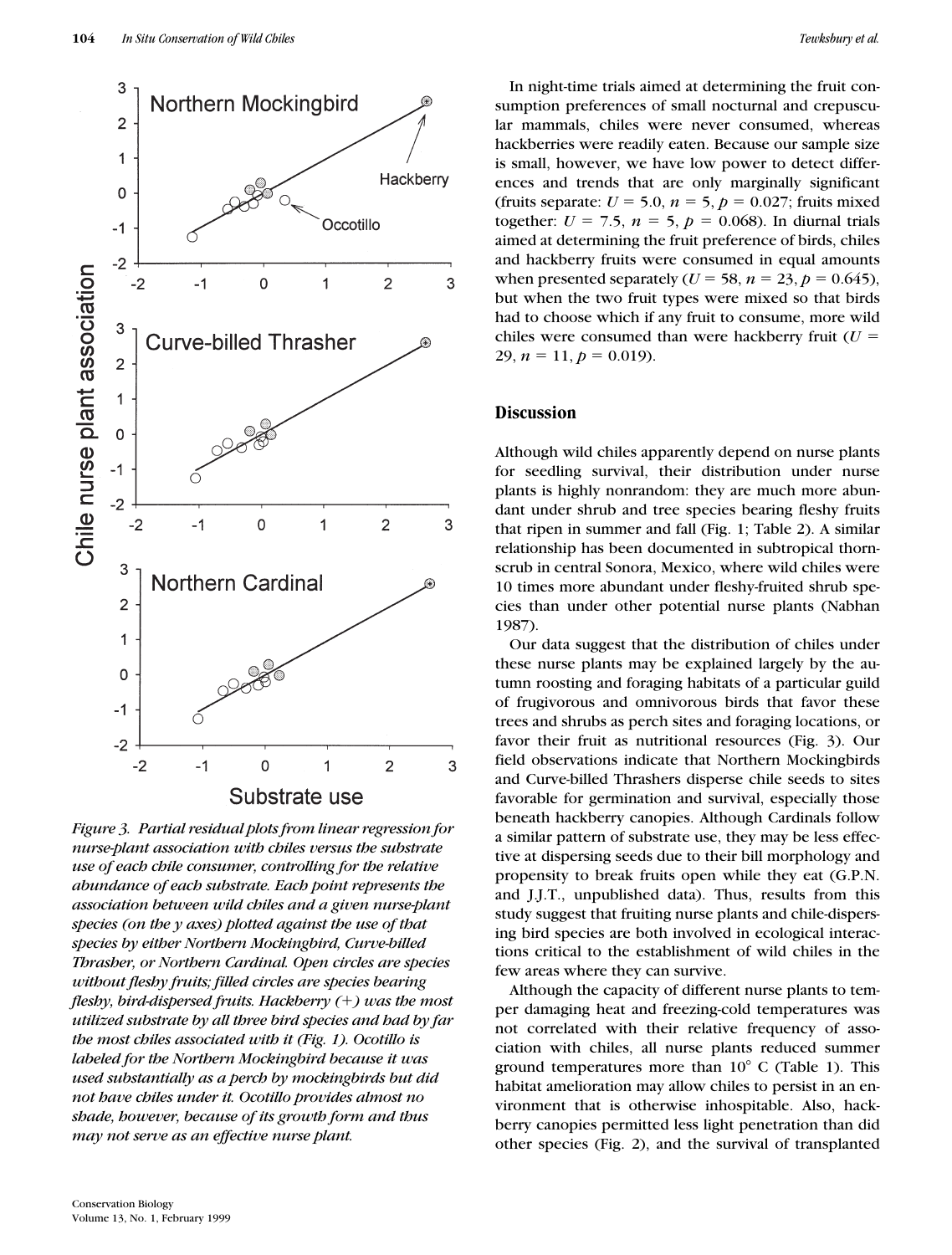

*Figure 3. Partial residual plots from linear regression for nurse-plant association with chiles versus the substrate use of each chile consumer, controlling for the relative abundance of each substrate. Each point represents the association between wild chiles and a given nurse-plant species (on the y axes) plotted against the use of that species by either Northern Mockingbird, Curve-billed Thrasher, or Northern Cardinal. Open circles are species without fleshy fruits; filled circles are species bearing fleshy, bird-dispersed fruits. Hackberry (*1*) was the most utilized substrate by all three bird species and had by far the most chiles associated with it (Fig. 1). Ocotillo is labeled for the Northern Mockingbird because it was used substantially as a perch by mockingbirds but did not have chiles under it. Ocotillo provides almost no shade, however, because of its growth form and thus may not serve as an effective nurse plant.*

In night-time trials aimed at determining the fruit consumption preferences of small nocturnal and crepuscular mammals, chiles were never consumed, whereas hackberries were readily eaten. Because our sample size is small, however, we have low power to detect differences and trends that are only marginally significant (fruits separate:  $U = 5.0$ ,  $n = 5$ ,  $p = 0.027$ ; fruits mixed together:  $U = 7.5$ ,  $n = 5$ ,  $p = 0.068$ ). In diurnal trials aimed at determining the fruit preference of birds, chiles and hackberry fruits were consumed in equal amounts when presented separately ( $U = 58$ ,  $n = 23$ ,  $p = 0.645$ ), but when the two fruit types were mixed so that birds had to choose which if any fruit to consume, more wild chiles were consumed than were hackberry fruit  $(U =$ 29,  $n = 11$ ,  $p = 0.019$ .

# **Discussion**

Although wild chiles apparently depend on nurse plants for seedling survival, their distribution under nurse plants is highly nonrandom: they are much more abundant under shrub and tree species bearing fleshy fruits that ripen in summer and fall (Fig. 1; Table 2). A similar relationship has been documented in subtropical thornscrub in central Sonora, Mexico, where wild chiles were 10 times more abundant under fleshy-fruited shrub species than under other potential nurse plants (Nabhan 1987).

Our data suggest that the distribution of chiles under these nurse plants may be explained largely by the autumn roosting and foraging habitats of a particular guild of frugivorous and omnivorous birds that favor these trees and shrubs as perch sites and foraging locations, or favor their fruit as nutritional resources (Fig. 3). Our field observations indicate that Northern Mockingbirds and Curve-billed Thrashers disperse chile seeds to sites favorable for germination and survival, especially those beneath hackberry canopies. Although Cardinals follow a similar pattern of substrate use, they may be less effective at dispersing seeds due to their bill morphology and propensity to break fruits open while they eat (G.P.N. and J.J.T., unpublished data). Thus, results from this study suggest that fruiting nurse plants and chile-dispersing bird species are both involved in ecological interactions critical to the establishment of wild chiles in the few areas where they can survive.

Although the capacity of different nurse plants to temper damaging heat and freezing-cold temperatures was not correlated with their relative frequency of association with chiles, all nurse plants reduced summer ground temperatures more than  $10^{\circ}$  C (Table 1). This habitat amelioration may allow chiles to persist in an environment that is otherwise inhospitable. Also, hackberry canopies permitted less light penetration than did other species (Fig. 2), and the survival of transplanted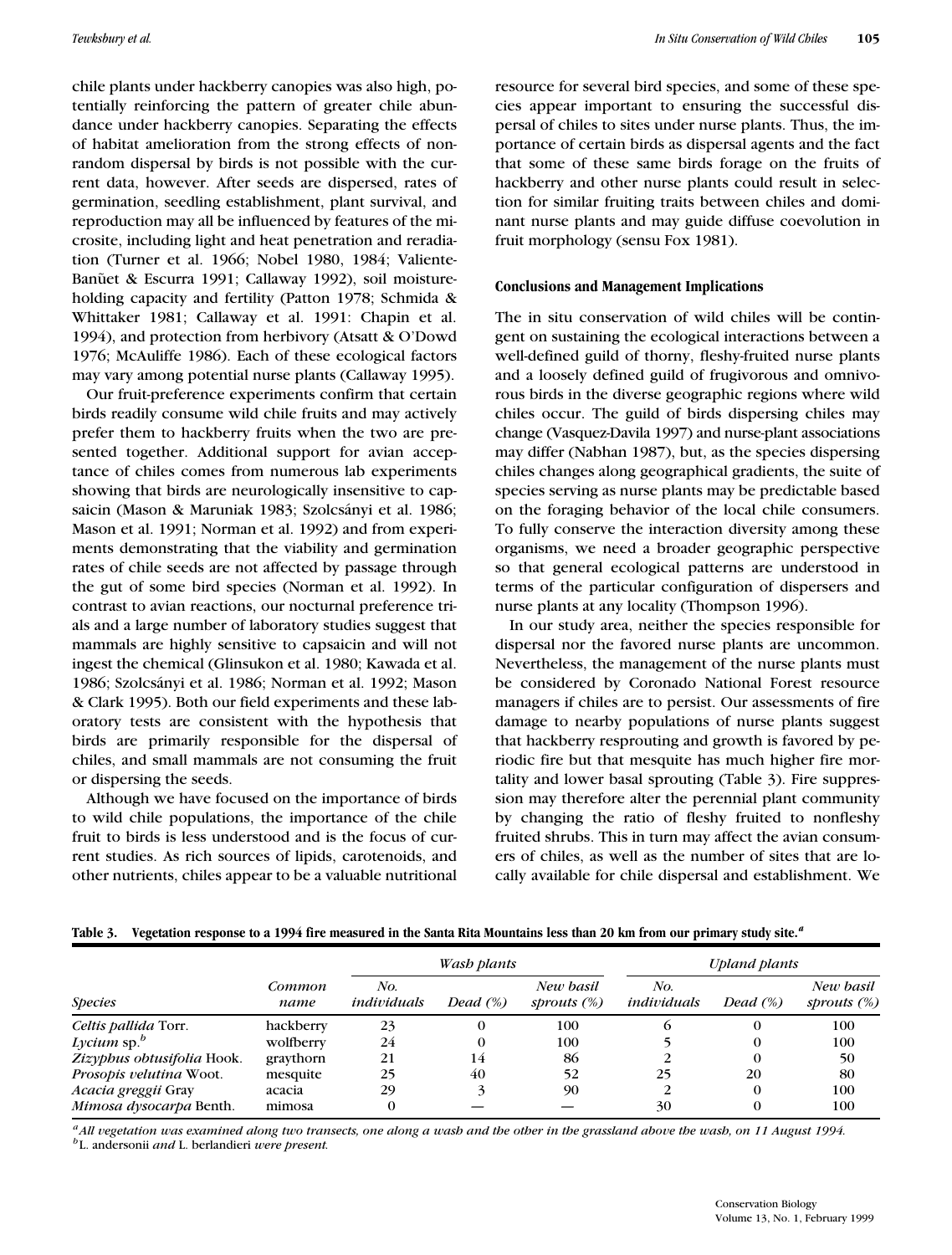chile plants under hackberry canopies was also high, potentially reinforcing the pattern of greater chile abundance under hackberry canopies. Separating the effects of habitat amelioration from the strong effects of nonrandom dispersal by birds is not possible with the current data, however. After seeds are dispersed, rates of germination, seedling establishment, plant survival, and reproduction may all be influenced by features of the microsite, including light and heat penetration and reradiation (Turner et al. 1966; Nobel 1980, 1984; Valiente-Banũet & Escurra 1991; Callaway 1992), soil moistureholding capacity and fertility (Patton 1978; Schmida & Whittaker 1981; Callaway et al. 1991: Chapin et al. 1994), and protection from herbivory (Atsatt & O'Dowd 1976; McAuliffe 1986). Each of these ecological factors may vary among potential nurse plants (Callaway 1995).

Our fruit-preference experiments confirm that certain birds readily consume wild chile fruits and may actively prefer them to hackberry fruits when the two are presented together. Additional support for avian acceptance of chiles comes from numerous lab experiments showing that birds are neurologically insensitive to capsaicin (Mason & Maruniak 1983; Szolcsányi et al. 1986; Mason et al. 1991; Norman et al. 1992) and from experiments demonstrating that the viability and germination rates of chile seeds are not affected by passage through the gut of some bird species (Norman et al. 1992). In contrast to avian reactions, our nocturnal preference trials and a large number of laboratory studies suggest that mammals are highly sensitive to capsaicin and will not ingest the chemical (Glinsukon et al. 1980; Kawada et al. 1986; Szolcsányi et al. 1986; Norman et al. 1992; Mason & Clark 1995). Both our field experiments and these laboratory tests are consistent with the hypothesis that birds are primarily responsible for the dispersal of chiles, and small mammals are not consuming the fruit or dispersing the seeds.

Although we have focused on the importance of birds to wild chile populations, the importance of the chile fruit to birds is less understood and is the focus of current studies. As rich sources of lipids, carotenoids, and other nutrients, chiles appear to be a valuable nutritional resource for several bird species, and some of these species appear important to ensuring the successful dispersal of chiles to sites under nurse plants. Thus, the importance of certain birds as dispersal agents and the fact that some of these same birds forage on the fruits of hackberry and other nurse plants could result in selection for similar fruiting traits between chiles and dominant nurse plants and may guide diffuse coevolution in fruit morphology (sensu Fox 1981).

#### **Conclusions and Management Implications**

The in situ conservation of wild chiles will be contingent on sustaining the ecological interactions between a well-defined guild of thorny, fleshy-fruited nurse plants and a loosely defined guild of frugivorous and omnivorous birds in the diverse geographic regions where wild chiles occur. The guild of birds dispersing chiles may change (Vasquez-Davila 1997) and nurse-plant associations may differ (Nabhan 1987), but, as the species dispersing chiles changes along geographical gradients, the suite of species serving as nurse plants may be predictable based on the foraging behavior of the local chile consumers. To fully conserve the interaction diversity among these organisms, we need a broader geographic perspective so that general ecological patterns are understood in terms of the particular configuration of dispersers and nurse plants at any locality (Thompson 1996).

In our study area, neither the species responsible for dispersal nor the favored nurse plants are uncommon. Nevertheless, the management of the nurse plants must be considered by Coronado National Forest resource managers if chiles are to persist. Our assessments of fire damage to nearby populations of nurse plants suggest that hackberry resprouting and growth is favored by periodic fire but that mesquite has much higher fire mortality and lower basal sprouting (Table 3). Fire suppression may therefore alter the perennial plant community by changing the ratio of fleshy fruited to nonfleshy fruited shrubs. This in turn may affect the avian consumers of chiles, as well as the number of sites that are locally available for chile dispersal and establishment. We

|                            |                |                    | Wash plants |                             | <b>Upland plants</b> |             |                             |  |
|----------------------------|----------------|--------------------|-------------|-----------------------------|----------------------|-------------|-----------------------------|--|
| <i>Species</i>             | Common<br>name | No.<br>individuals | Dead $(\%)$ | New basil<br>sprouts $(\%)$ | No.<br>individuals   | Dead $(\%)$ | New basil<br>sprouts $(\%)$ |  |
| Celtis pallida Torr.       | hackberry      | 23                 | $\Omega$    | 100                         | o                    | 0           | 100                         |  |
| Lycium $sp.^b$             | wolfberry      | 24                 | $\Omega$    | 100                         |                      | $\Omega$    | 100                         |  |
| Zizyphus obtusifolia Hook. | graythorn      | 21                 | 14          | 86                          |                      |             | 50                          |  |
| Prosopis velutina Woot.    | mesquite       | 25                 | 40          | 52                          | 25                   | 20          | 80                          |  |
| Acacia greggii Gray        | acacia         | 29                 |             | 90                          |                      | 0           | 100                         |  |
| Mimosa dysocarpa Benth.    | mimosa         | 0                  |             |                             | 30                   |             | 100                         |  |

**Table 3. Vegetation response to a 1994 fire measured in the Santa Rita Mountains less than 20 km from our primary study site.***<sup>a</sup>*

*aAll vegetation was examined along two transects, one along a wash and the other in the grassland above the wash, on 11 August 1994. <sup>b</sup>*L. andersonii *and* L. berlandieri *were present.*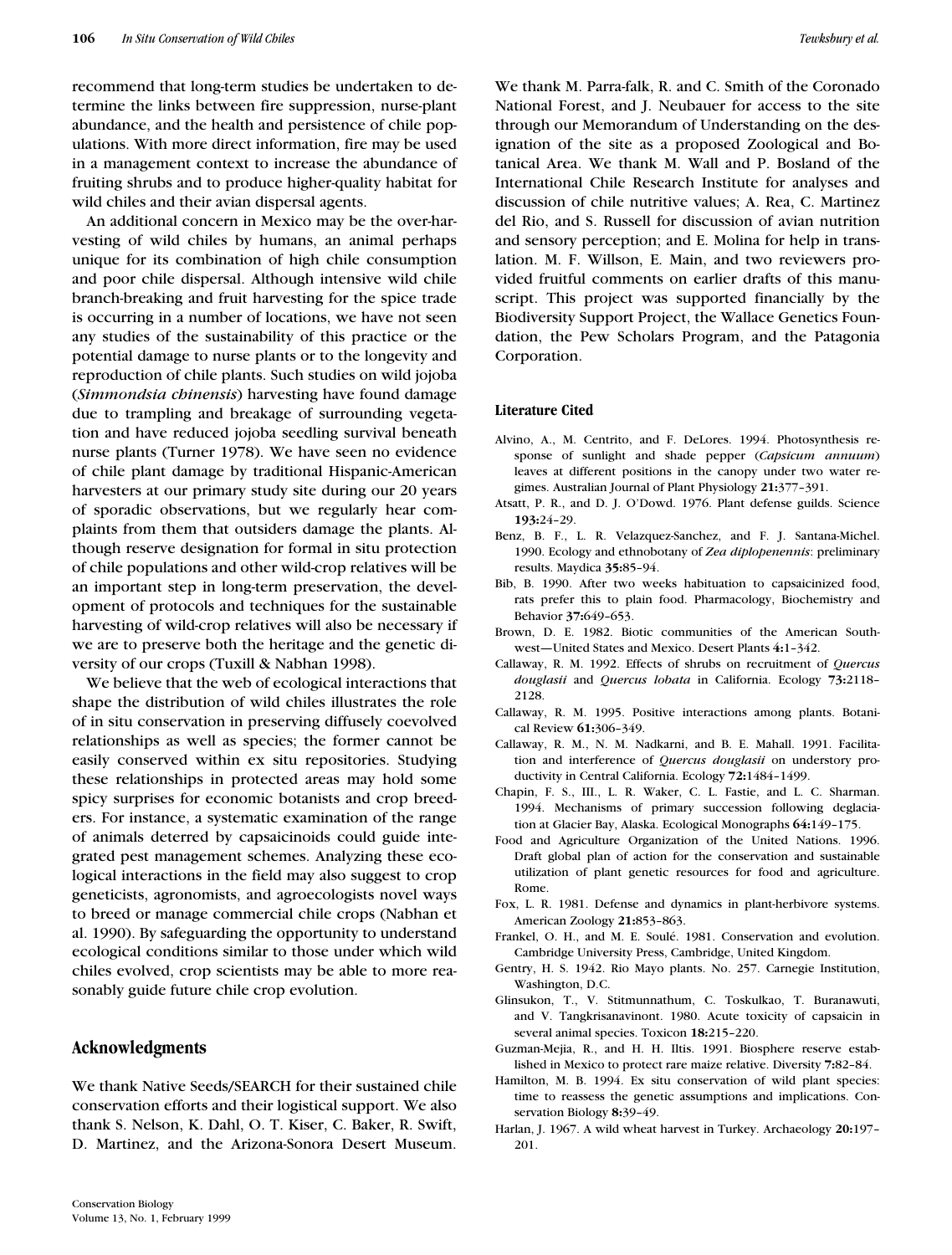recommend that long-term studies be undertaken to determine the links between fire suppression, nurse-plant abundance, and the health and persistence of chile populations. With more direct information, fire may be used in a management context to increase the abundance of fruiting shrubs and to produce higher-quality habitat for wild chiles and their avian dispersal agents.

An additional concern in Mexico may be the over-harvesting of wild chiles by humans, an animal perhaps unique for its combination of high chile consumption and poor chile dispersal. Although intensive wild chile branch-breaking and fruit harvesting for the spice trade is occurring in a number of locations, we have not seen any studies of the sustainability of this practice or the potential damage to nurse plants or to the longevity and reproduction of chile plants. Such studies on wild jojoba (*Simmondsia chinensis*) harvesting have found damage due to trampling and breakage of surrounding vegetation and have reduced jojoba seedling survival beneath nurse plants (Turner 1978). We have seen no evidence of chile plant damage by traditional Hispanic-American harvesters at our primary study site during our 20 years of sporadic observations, but we regularly hear complaints from them that outsiders damage the plants. Although reserve designation for formal in situ protection of chile populations and other wild-crop relatives will be an important step in long-term preservation, the development of protocols and techniques for the sustainable harvesting of wild-crop relatives will also be necessary if we are to preserve both the heritage and the genetic diversity of our crops (Tuxill & Nabhan 1998).

We believe that the web of ecological interactions that shape the distribution of wild chiles illustrates the role of in situ conservation in preserving diffusely coevolved relationships as well as species; the former cannot be easily conserved within ex situ repositories. Studying these relationships in protected areas may hold some spicy surprises for economic botanists and crop breeders. For instance, a systematic examination of the range of animals deterred by capsaicinoids could guide integrated pest management schemes. Analyzing these ecological interactions in the field may also suggest to crop geneticists, agronomists, and agroecologists novel ways to breed or manage commercial chile crops (Nabhan et al. 1990). By safeguarding the opportunity to understand ecological conditions similar to those under which wild chiles evolved, crop scientists may be able to more reasonably guide future chile crop evolution.

## **Acknowledgments**

We thank Native Seeds/SEARCH for their sustained chile conservation efforts and their logistical support. We also thank S. Nelson, K. Dahl, O. T. Kiser, C. Baker, R. Swift, D. Martinez, and the Arizona-Sonora Desert Museum.

We thank M. Parra-falk, R. and C. Smith of the Coronado National Forest, and J. Neubauer for access to the site through our Memorandum of Understanding on the designation of the site as a proposed Zoological and Botanical Area. We thank M. Wall and P. Bosland of the International Chile Research Institute for analyses and discussion of chile nutritive values; A. Rea, C. Martinez del Rio, and S. Russell for discussion of avian nutrition and sensory perception; and E. Molina for help in translation. M. F. Willson, E. Main, and two reviewers provided fruitful comments on earlier drafts of this manuscript. This project was supported financially by the Biodiversity Support Project, the Wallace Genetics Foundation, the Pew Scholars Program, and the Patagonia Corporation.

## **Literature Cited**

- Alvino, A., M. Centrito, and F. DeLores. 1994. Photosynthesis response of sunlight and shade pepper (*Capsicum annuum*) leaves at different positions in the canopy under two water regimes. Australian Journal of Plant Physiology **21:**377–391.
- Atsatt, P. R., and D. J. O'Dowd. 1976. Plant defense guilds. Science **193:**24–29.
- Benz, B. F., L. R. Velazquez-Sanchez, and F. J. Santana-Michel. 1990. Ecology and ethnobotany of *Zea diplopenennis*: preliminary results. Maydica **35:**85–94.
- Bib, B. 1990. After two weeks habituation to capsaicinized food, rats prefer this to plain food. Pharmacology, Biochemistry and Behavior **37:**649–653.
- Brown, D. E. 1982. Biotic communities of the American Southwest—United States and Mexico. Desert Plants **4:**1–342.
- Callaway, R. M. 1992. Effects of shrubs on recruitment of *Quercus douglasii* and *Quercus lobata* in California. Ecology **73:**2118– 2128.
- Callaway, R. M. 1995. Positive interactions among plants. Botanical Review **61:**306–349.
- Callaway, R. M., N. M. Nadkarni, and B. E. Mahall. 1991. Facilitation and interference of *Quercus douglasii* on understory productivity in Central California. Ecology **72:**1484–1499.
- Chapin, F. S., III., L. R. Waker, C. L. Fastie, and L. C. Sharman. 1994. Mechanisms of primary succession following deglaciation at Glacier Bay, Alaska. Ecological Monographs **64:**149–175.
- Food and Agriculture Organization of the United Nations. 1996. Draft global plan of action for the conservation and sustainable utilization of plant genetic resources for food and agriculture. Rome.
- Fox, L. R. 1981. Defense and dynamics in plant-herbivore systems. American Zoology **21:**853–863.
- Frankel, O. H., and M. E. Soulé. 1981. Conservation and evolution. Cambridge University Press, Cambridge, United Kingdom.
- Gentry, H. S. 1942. Rio Mayo plants. No. 257. Carnegie Institution, Washington, D.C.
- Glinsukon, T., V. Stitmunnathum, C. Toskulkao, T. Buranawuti, and V. Tangkrisanavinont. 1980. Acute toxicity of capsaicin in several animal species. Toxicon **18:**215–220.
- Guzman-Mejia, R., and H. H. Iltis. 1991. Biosphere reserve established in Mexico to protect rare maize relative. Diversity **7:**82–84.
- Hamilton, M. B. 1994. Ex situ conservation of wild plant species: time to reassess the genetic assumptions and implications. Conservation Biology **8:**39–49.
- Harlan, J. 1967. A wild wheat harvest in Turkey. Archaeology **20:**197– 201.